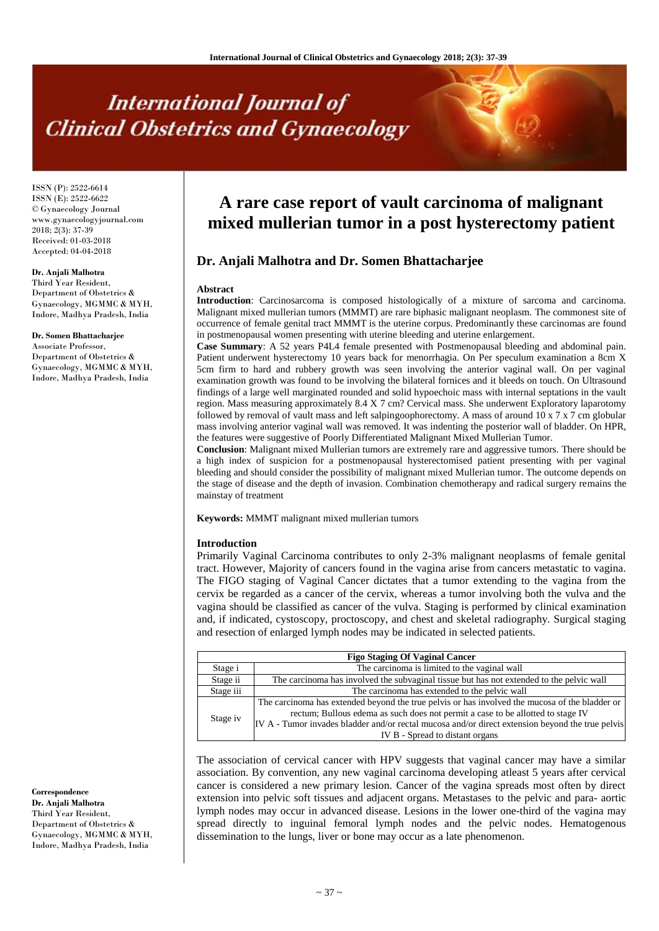# **International Journal of Clinical Obstetrics and Gynaecology**

ISSN (P): 2522-6614 ISSN (E): 2522-6622 © Gynaecology Journal www.gynaecologyjournal.com 2018; 2(3): 37-39 Received: 01-03-2018 Accepted: 04-04-2018

# **Dr. Anjali Malhotra**

Third Year Resident, Department of Obstetrics & Gynaecology, MGMMC & MYH, Indore, Madhya Pradesh, India

#### **Dr. Somen Bhattacharjee**

Associate Professor, Department of Obstetrics & Gynaecology, MGMMC & MYH, Indore, Madhya Pradesh, India

## **Correspondence**

**Dr. Anjali Malhotra** Third Year Resident, Department of Obstetrics & Gynaecology, MGMMC & MYH, Indore, Madhya Pradesh, India

# **A rare case report of vault carcinoma of malignant mixed mullerian tumor in a post hysterectomy patient**

# **Dr. Anjali Malhotra and Dr. Somen Bhattacharjee**

#### **Abstract**

**Introduction**: Carcinosarcoma is composed histologically of a mixture of sarcoma and carcinoma. Malignant mixed mullerian tumors (MMMT) are rare biphasic malignant neoplasm. The commonest site of occurrence of female genital tract MMMT is the uterine corpus. Predominantly these carcinomas are found in postmenopausal women presenting with uterine bleeding and uterine enlargement.

**Case Summary**: A 52 years P4L4 female presented with Postmenopausal bleeding and abdominal pain. Patient underwent hysterectomy 10 years back for menorrhagia. On Per speculum examination a 8cm X 5cm firm to hard and rubbery growth was seen involving the anterior vaginal wall. On per vaginal examination growth was found to be involving the bilateral fornices and it bleeds on touch. On Ultrasound findings of a large well marginated rounded and solid hypoechoic mass with internal septations in the vault region. Mass measuring approximately 8.4 X 7 cm? Cervical mass. She underwent Exploratory laparotomy followed by removal of vault mass and left salpingoophorectomy. A mass of around 10 x 7 x 7 cm globular mass involving anterior vaginal wall was removed. It was indenting the posterior wall of bladder. On HPR, the features were suggestive of Poorly Differentiated Malignant Mixed Mullerian Tumor.

**Conclusion**: Malignant mixed Mullerian tumors are extremely rare and aggressive tumors. There should be a high index of suspicion for a postmenopausal hysterectomised patient presenting with per vaginal bleeding and should consider the possibility of malignant mixed Mullerian tumor. The outcome depends on the stage of disease and the depth of invasion. Combination chemotherapy and radical surgery remains the mainstay of treatment

**Keywords:** MMMT malignant mixed mullerian tumors

#### **Introduction**

Primarily Vaginal Carcinoma contributes to only 2-3% malignant neoplasms of female genital tract. However, Majority of cancers found in the vagina arise from cancers metastatic to vagina. The FIGO staging of Vaginal Cancer dictates that a tumor extending to the vagina from the cervix be regarded as a cancer of the cervix, whereas a tumor involving both the vulva and the vagina should be classified as cancer of the vulva. Staging is performed by clinical examination and, if indicated, cystoscopy, proctoscopy, and chest and skeletal radiography. Surgical staging and resection of enlarged lymph nodes may be indicated in selected patients.

| <b>Figo Staging Of Vaginal Cancer</b> |                                                                                                                                                                                   |  |  |
|---------------------------------------|-----------------------------------------------------------------------------------------------------------------------------------------------------------------------------------|--|--|
| Stage i                               | The carcinoma is limited to the vaginal wall                                                                                                                                      |  |  |
| Stage ii                              | The carcinoma has involved the subvaginal tissue but has not extended to the pelvic wall                                                                                          |  |  |
| Stage iii                             | The carcinoma has extended to the pelvic wall                                                                                                                                     |  |  |
| Stage iv                              | The carcinoma has extended beyond the true pelvis or has involved the mucosa of the bladder or<br>rectum; Bullous edema as such does not permit a case to be allotted to stage IV |  |  |
|                                       | IV A - Tumor invades bladder and/or rectal mucosa and/or direct extension beyond the true pelvis<br>IV B - Spread to distant organs                                               |  |  |

The association of cervical cancer with HPV suggests that vaginal cancer may have a similar association. By convention, any new vaginal carcinoma developing atleast 5 years after cervical cancer is considered a new primary lesion. Cancer of the vagina spreads most often by direct extension into pelvic soft tissues and adjacent organs. Metastases to the pelvic and para- aortic lymph nodes may occur in advanced disease. Lesions in the lower one-third of the vagina may spread directly to inguinal femoral lymph nodes and the pelvic nodes. Hematogenous dissemination to the lungs, liver or bone may occur as a late phenomenon.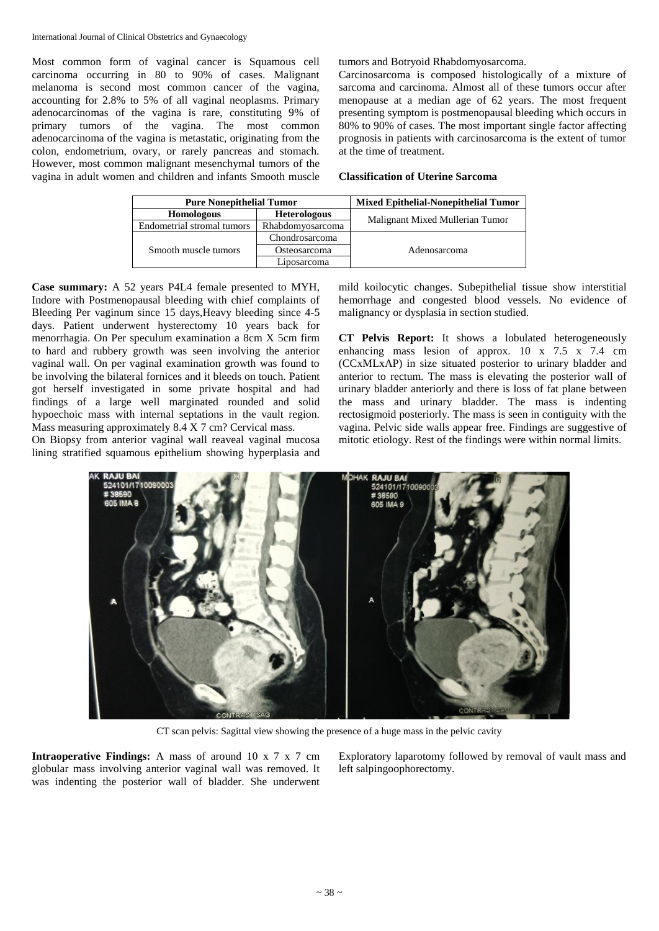Most common form of vaginal cancer is Squamous cell carcinoma occurring in 80 to 90% of cases. Malignant melanoma is second most common cancer of the vagina, accounting for 2.8% to 5% of all vaginal neoplasms. Primary adenocarcinomas of the vagina is rare, constituting 9% of primary tumors of the vagina. The most common adenocarcinoma of the vagina is metastatic, originating from the colon, endometrium, ovary, or rarely pancreas and stomach. However, most common malignant mesenchymal tumors of the vagina in adult women and children and infants Smooth muscle tumors and Botryoid Rhabdomyosarcoma.

Carcinosarcoma is composed histologically of a mixture of sarcoma and carcinoma. Almost all of these tumors occur after menopause at a median age of 62 years. The most frequent presenting symptom is postmenopausal bleeding which occurs in 80% to 90% of cases. The most important single factor affecting prognosis in patients with carcinosarcoma is the extent of tumor at the time of treatment.

### **Classification of Uterine Sarcoma**

| <b>Pure Nonepithelial Tumor</b> |                     | <b>Mixed Epithelial-Nonepithelial Tumor</b> |
|---------------------------------|---------------------|---------------------------------------------|
| <b>Homologous</b>               | <b>Heterologous</b> | Malignant Mixed Mullerian Tumor             |
| Endometrial stromal tumors      | Rhabdomyosarcoma    |                                             |
|                                 | Chondrosarcoma      |                                             |
| Smooth muscle tumors            | Osteosarcoma        | Adenosarcoma                                |
|                                 | Liposarcoma         |                                             |

**Case summary:** A 52 years P4L4 female presented to MYH, Indore with Postmenopausal bleeding with chief complaints of Bleeding Per vaginum since 15 days,Heavy bleeding since 4-5 days. Patient underwent hysterectomy 10 years back for menorrhagia. On Per speculum examination a 8cm X 5cm firm to hard and rubbery growth was seen involving the anterior vaginal wall. On per vaginal examination growth was found to be involving the bilateral fornices and it bleeds on touch. Patient got herself investigated in some private hospital and had findings of a large well marginated rounded and solid hypoechoic mass with internal septations in the vault region. Mass measuring approximately 8.4 X 7 cm? Cervical mass.

On Biopsy from anterior vaginal wall reaveal vaginal mucosa lining stratified squamous epithelium showing hyperplasia and mild koilocytic changes. Subepithelial tissue show interstitial hemorrhage and congested blood vessels. No evidence of malignancy or dysplasia in section studied.

**CT Pelvis Report:** It shows a lobulated heterogeneously enhancing mass lesion of approx. 10 x 7.5 x 7.4 cm (CCxMLxAP) in size situated posterior to urinary bladder and anterior to rectum. The mass is elevating the posterior wall of urinary bladder anteriorly and there is loss of fat plane between the mass and urinary bladder. The mass is indenting rectosigmoid posteriorly. The mass is seen in contiguity with the vagina. Pelvic side walls appear free. Findings are suggestive of mitotic etiology. Rest of the findings were within normal limits.



CT scan pelvis: Sagittal view showing the presence of a huge mass in the pelvic cavity

**Intraoperative Findings:** A mass of around 10 x 7 x 7 cm globular mass involving anterior vaginal wall was removed. It was indenting the posterior wall of bladder. She underwent Exploratory laparotomy followed by removal of vault mass and left salpingoophorectomy.